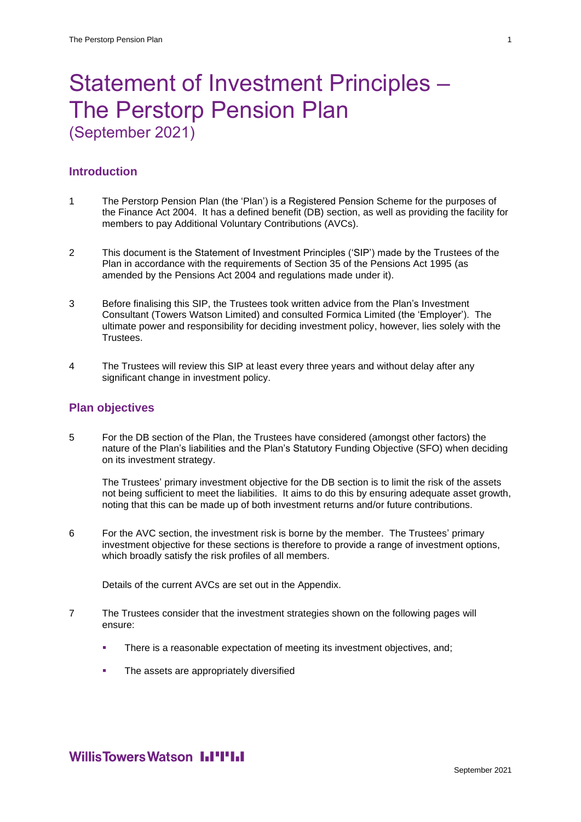# Statement of Investment Principles – The Perstorp Pension Plan (September 2021)

# **Introduction**

- 1 The Perstorp Pension Plan (the 'Plan') is a Registered Pension Scheme for the purposes of the Finance Act 2004. It has a defined benefit (DB) section, as well as providing the facility for members to pay Additional Voluntary Contributions (AVCs).
- 2 This document is the Statement of Investment Principles ('SIP') made by the Trustees of the Plan in accordance with the requirements of Section 35 of the Pensions Act 1995 (as amended by the Pensions Act 2004 and regulations made under it).
- 3 Before finalising this SIP, the Trustees took written advice from the Plan's Investment Consultant (Towers Watson Limited) and consulted Formica Limited (the 'Employer'). The ultimate power and responsibility for deciding investment policy, however, lies solely with the Trustees.
- 4 The Trustees will review this SIP at least every three years and without delay after any significant change in investment policy.

# **Plan objectives**

5 For the DB section of the Plan, the Trustees have considered (amongst other factors) the nature of the Plan's liabilities and the Plan's Statutory Funding Objective (SFO) when deciding on its investment strategy.

The Trustees' primary investment objective for the DB section is to limit the risk of the assets not being sufficient to meet the liabilities. It aims to do this by ensuring adequate asset growth, noting that this can be made up of both investment returns and/or future contributions.

6 For the AVC section, the investment risk is borne by the member. The Trustees' primary investment objective for these sections is therefore to provide a range of investment options, which broadly satisfy the risk profiles of all members.

Details of the current AVCs are set out in the Appendix.

- 7 The Trustees consider that the investment strategies shown on the following pages will ensure:
	- **There is a reasonable expectation of meeting its investment objectives, and;**
	- **•** The assets are appropriately diversified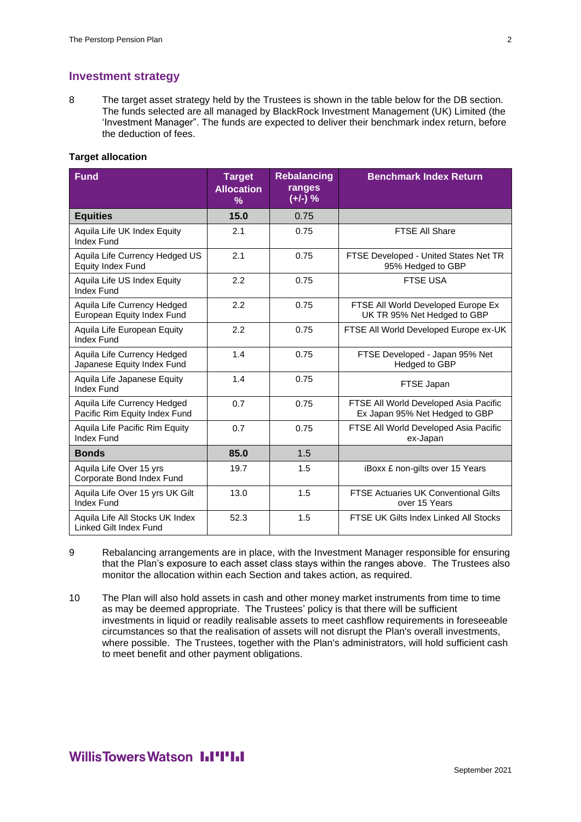# **Investment strategy**

8 The target asset strategy held by the Trustees is shown in the table below for the DB section. The funds selected are all managed by BlackRock Investment Management (UK) Limited (the 'Investment Manager". The funds are expected to deliver their benchmark index return, before the deduction of fees.

# **Target allocation**

| <b>Fund</b>                                                  | <b>Target</b><br><b>Allocation</b><br>$\%$ | <b>Rebalancing</b><br>ranges<br>$(+/-)$ % | <b>Benchmark Index Return</b>                                           |
|--------------------------------------------------------------|--------------------------------------------|-------------------------------------------|-------------------------------------------------------------------------|
| <b>Equities</b>                                              | 15.0                                       | 0.75                                      |                                                                         |
| Aquila Life UK Index Equity<br><b>Index Fund</b>             | 2.1                                        | 0.75                                      | <b>FTSE All Share</b>                                                   |
| Aquila Life Currency Hedged US<br>Equity Index Fund          | 2.1                                        | 0.75                                      | FTSE Developed - United States Net TR<br>95% Hedged to GBP              |
| Aquila Life US Index Equity<br><b>Index Fund</b>             | 2.2                                        | 0.75                                      | <b>FTSE USA</b>                                                         |
| Aquila Life Currency Hedged<br>European Equity Index Fund    | 2.2                                        | 0.75                                      | FTSE All World Developed Europe Ex<br>UK TR 95% Net Hedged to GBP       |
| Aquila Life European Equity<br><b>Index Fund</b>             | 2.2                                        | 0.75                                      | FTSE All World Developed Europe ex-UK                                   |
| Aquila Life Currency Hedged<br>Japanese Equity Index Fund    | 1.4                                        | 0.75                                      | FTSE Developed - Japan 95% Net<br>Hedged to GBP                         |
| Aquila Life Japanese Equity<br><b>Index Fund</b>             | 1.4                                        | 0.75                                      | FTSE Japan                                                              |
| Aquila Life Currency Hedged<br>Pacific Rim Equity Index Fund | 0.7                                        | 0.75                                      | FTSE All World Developed Asia Pacific<br>Ex Japan 95% Net Hedged to GBP |
| Aquila Life Pacific Rim Equity<br><b>Index Fund</b>          | 0.7                                        | 0.75                                      | FTSE All World Developed Asia Pacific<br>ex-Japan                       |
| <b>Bonds</b>                                                 | 85.0                                       | 1.5                                       |                                                                         |
| Aquila Life Over 15 yrs<br>Corporate Bond Index Fund         | 19.7                                       | 1.5                                       | iBoxx £ non-gilts over 15 Years                                         |
| Aquila Life Over 15 yrs UK Gilt<br>Index Fund                | 13.0                                       | 1.5                                       | <b>FTSE Actuaries UK Conventional Gilts</b><br>over 15 Years            |
| Aquila Life All Stocks UK Index<br>Linked Gilt Index Fund    | 52.3                                       | 1.5                                       | FTSE UK Gilts Index Linked All Stocks                                   |

- 9 Rebalancing arrangements are in place, with the Investment Manager responsible for ensuring that the Plan's exposure to each asset class stays within the ranges above. The Trustees also monitor the allocation within each Section and takes action, as required.
- 10 The Plan will also hold assets in cash and other money market instruments from time to time as may be deemed appropriate. The Trustees' policy is that there will be sufficient investments in liquid or readily realisable assets to meet cashflow requirements in foreseeable circumstances so that the realisation of assets will not disrupt the Plan's overall investments, where possible. The Trustees, together with the Plan's administrators, will hold sufficient cash to meet benefit and other payment obligations.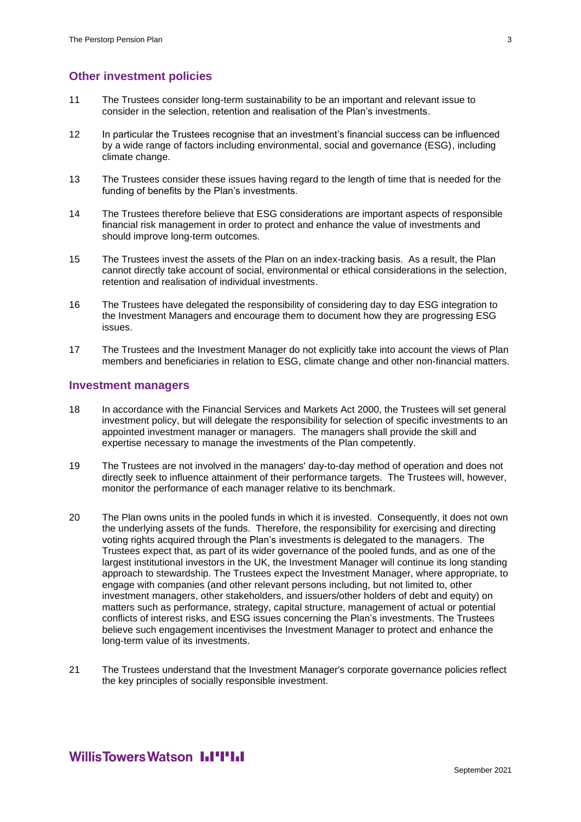# **Other investment policies**

- 11 The Trustees consider long-term sustainability to be an important and relevant issue to consider in the selection, retention and realisation of the Plan's investments.
- 12 In particular the Trustees recognise that an investment's financial success can be influenced by a wide range of factors including environmental, social and governance (ESG), including climate change.
- 13 The Trustees consider these issues having regard to the length of time that is needed for the funding of benefits by the Plan's investments.
- 14 The Trustees therefore believe that ESG considerations are important aspects of responsible financial risk management in order to protect and enhance the value of investments and should improve long-term outcomes.
- 15 The Trustees invest the assets of the Plan on an index-tracking basis. As a result, the Plan cannot directly take account of social, environmental or ethical considerations in the selection, retention and realisation of individual investments.
- 16 The Trustees have delegated the responsibility of considering day to day ESG integration to the Investment Managers and encourage them to document how they are progressing ESG issues.
- 17 The Trustees and the Investment Manager do not explicitly take into account the views of Plan members and beneficiaries in relation to ESG, climate change and other non-financial matters.

#### **Investment managers**

- 18 In accordance with the Financial Services and Markets Act 2000, the Trustees will set general investment policy, but will delegate the responsibility for selection of specific investments to an appointed investment manager or managers. The managers shall provide the skill and expertise necessary to manage the investments of the Plan competently.
- 19 The Trustees are not involved in the managers' day-to-day method of operation and does not directly seek to influence attainment of their performance targets. The Trustees will, however, monitor the performance of each manager relative to its benchmark.
- 20 The Plan owns units in the pooled funds in which it is invested. Consequently, it does not own the underlying assets of the funds. Therefore, the responsibility for exercising and directing voting rights acquired through the Plan's investments is delegated to the managers. The Trustees expect that, as part of its wider governance of the pooled funds, and as one of the largest institutional investors in the UK, the Investment Manager will continue its long standing approach to stewardship. The Trustees expect the Investment Manager, where appropriate, to engage with companies (and other relevant persons including, but not limited to, other investment managers, other stakeholders, and issuers/other holders of debt and equity) on matters such as performance, strategy, capital structure, management of actual or potential conflicts of interest risks, and ESG issues concerning the Plan's investments. The Trustees believe such engagement incentivises the Investment Manager to protect and enhance the long-term value of its investments.
- 21 The Trustees understand that the Investment Manager's corporate governance policies reflect the key principles of socially responsible investment.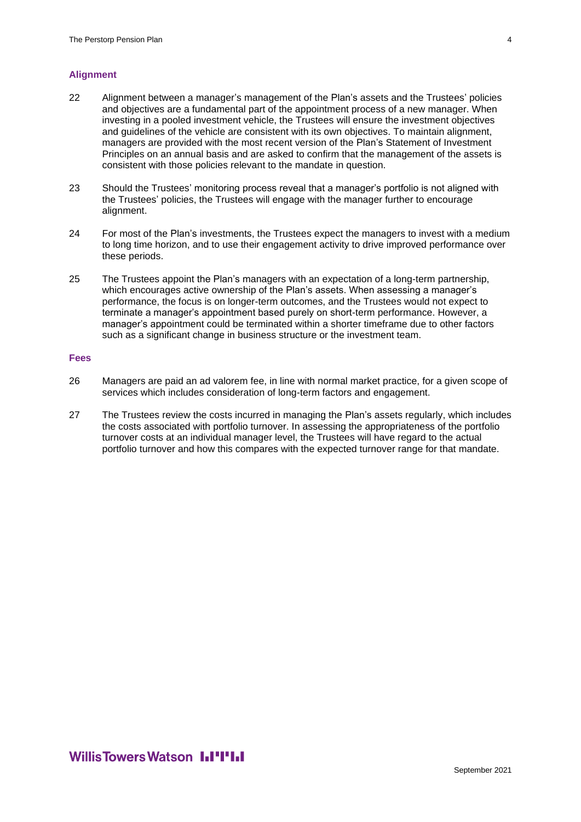#### **Alignment**

- 22 Alignment between a manager's management of the Plan's assets and the Trustees' policies and objectives are a fundamental part of the appointment process of a new manager. When investing in a pooled investment vehicle, the Trustees will ensure the investment objectives and guidelines of the vehicle are consistent with its own objectives. To maintain alignment, managers are provided with the most recent version of the Plan's Statement of Investment Principles on an annual basis and are asked to confirm that the management of the assets is consistent with those policies relevant to the mandate in question.
- 23 Should the Trustees' monitoring process reveal that a manager's portfolio is not aligned with the Trustees' policies, the Trustees will engage with the manager further to encourage alignment.
- 24 For most of the Plan's investments, the Trustees expect the managers to invest with a medium to long time horizon, and to use their engagement activity to drive improved performance over these periods.
- 25 The Trustees appoint the Plan's managers with an expectation of a long-term partnership, which encourages active ownership of the Plan's assets. When assessing a manager's performance, the focus is on longer-term outcomes, and the Trustees would not expect to terminate a manager's appointment based purely on short-term performance. However, a manager's appointment could be terminated within a shorter timeframe due to other factors such as a significant change in business structure or the investment team.

#### **Fees**

- 26 Managers are paid an ad valorem fee, in line with normal market practice, for a given scope of services which includes consideration of long-term factors and engagement.
- 27 The Trustees review the costs incurred in managing the Plan's assets regularly, which includes the costs associated with portfolio turnover. In assessing the appropriateness of the portfolio turnover costs at an individual manager level, the Trustees will have regard to the actual portfolio turnover and how this compares with the expected turnover range for that mandate.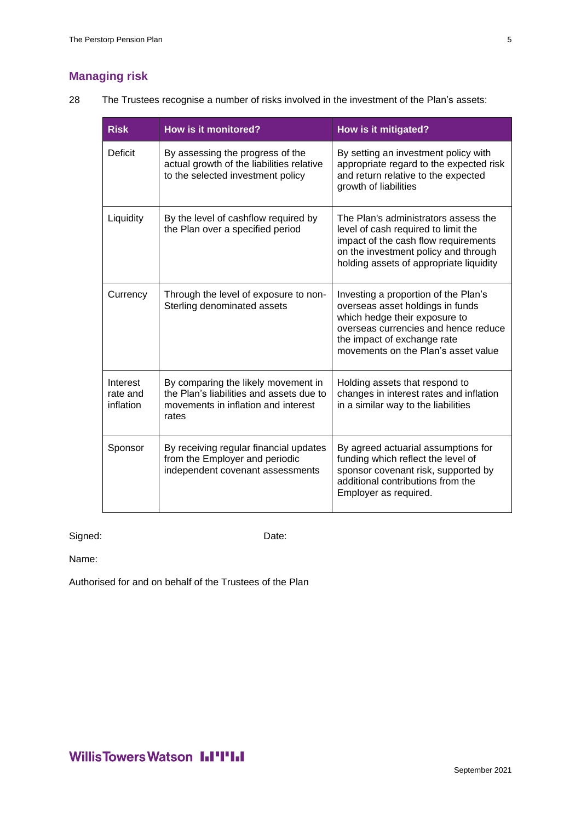# **Managing risk**

28 The Trustees recognise a number of risks involved in the investment of the Plan's assets:

| <b>Risk</b>                       | <b>How is it monitored?</b>                                                                                                     | How is it mitigated?                                                                                                                                                                                                    |
|-----------------------------------|---------------------------------------------------------------------------------------------------------------------------------|-------------------------------------------------------------------------------------------------------------------------------------------------------------------------------------------------------------------------|
| Deficit                           | By assessing the progress of the<br>actual growth of the liabilities relative<br>to the selected investment policy              | By setting an investment policy with<br>appropriate regard to the expected risk<br>and return relative to the expected<br>growth of liabilities                                                                         |
| Liquidity                         | By the level of cashflow required by<br>the Plan over a specified period                                                        | The Plan's administrators assess the<br>level of cash required to limit the<br>impact of the cash flow requirements<br>on the investment policy and through<br>holding assets of appropriate liquidity                  |
| Currency                          | Through the level of exposure to non-<br>Sterling denominated assets                                                            | Investing a proportion of the Plan's<br>overseas asset holdings in funds<br>which hedge their exposure to<br>overseas currencies and hence reduce<br>the impact of exchange rate<br>movements on the Plan's asset value |
| Interest<br>rate and<br>inflation | By comparing the likely movement in<br>the Plan's liabilities and assets due to<br>movements in inflation and interest<br>rates | Holding assets that respond to<br>changes in interest rates and inflation<br>in a similar way to the liabilities                                                                                                        |
| Sponsor                           | By receiving regular financial updates<br>from the Employer and periodic<br>independent covenant assessments                    | By agreed actuarial assumptions for<br>funding which reflect the level of<br>sponsor covenant risk, supported by<br>additional contributions from the<br>Employer as required.                                          |

Signed: Date:

Name:

Authorised for and on behalf of the Trustees of the Plan